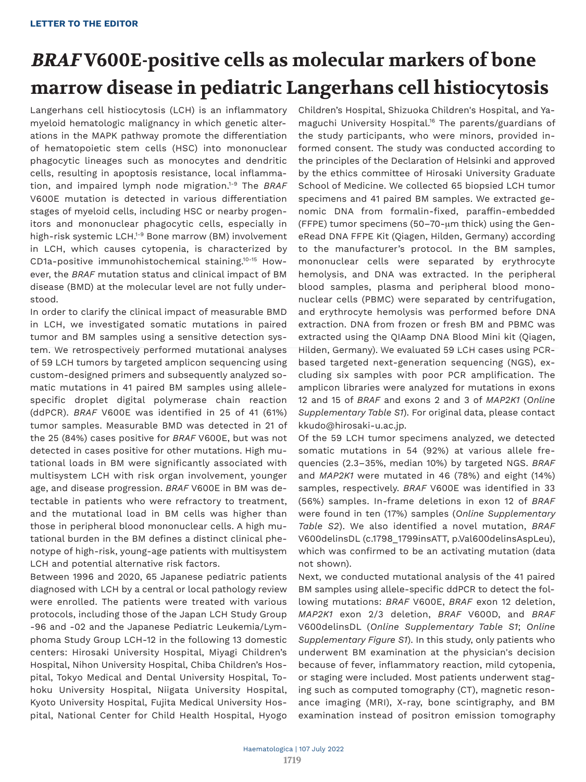# **BRAF V600E-positive cells as molecular markers of bone marrow disease in pediatric Langerhans cell histiocytosis**

Langerhans cell histiocytosis (LCH) is an inflammatory myeloid hematologic malignancy in which genetic alterations in the MAPK pathway promote the differentiation of hematopoietic stem cells (HSC) into mononuclear phagocytic lineages such as monocytes and dendritic cells, resulting in apoptosis resistance, local inflammation, and impaired lymph node migration.1-9 The *BRAF* V600E mutation is detected in various differentiation stages of myeloid cells, including HSC or nearby progenitors and mononuclear phagocytic cells, especially in high-risk systemic LCH.<sup>1-9</sup> Bone marrow (BM) involvement in LCH, which causes cytopenia, is characterized by CD1a-positive immunohistochemical staining.10-15 However, the *BRAF* mutation status and clinical impact of BM disease (BMD) at the molecular level are not fully understood.

In order to clarify the clinical impact of measurable BMD in LCH, we investigated somatic mutations in paired tumor and BM samples using a sensitive detection system. We retrospectively performed mutational analyses of 59 LCH tumors by targeted amplicon sequencing using custom-designed primers and subsequently analyzed somatic mutations in 41 paired BM samples using allelespecific droplet digital polymerase chain reaction (ddPCR). *BRAF* V600E was identified in 25 of 41 (61%) tumor samples. Measurable BMD was detected in 21 of the 25 (84%) cases positive for *BRAF* V600E, but was not detected in cases positive for other mutations. High mutational loads in BM were significantly associated with multisystem LCH with risk organ involvement, younger age, and disease progression. *BRAF* V600E in BM was detectable in patients who were refractory to treatment, and the mutational load in BM cells was higher than those in peripheral blood mononuclear cells. A high mutational burden in the BM defines a distinct clinical phenotype of high-risk, young-age patients with multisystem LCH and potential alternative risk factors.

Between 1996 and 2020, 65 Japanese pediatric patients diagnosed with LCH by a central or local pathology review were enrolled. The patients were treated with various protocols, including those of the Japan LCH Study Group -96 and -02 and the Japanese Pediatric Leukemia/Lymphoma Study Group LCH-12 in the following 13 domestic centers: Hirosaki University Hospital, Miyagi Children's Hospital, Nihon University Hospital, Chiba Children's Hospital, Tokyo Medical and Dental University Hospital, Tohoku University Hospital, Niigata University Hospital, Kyoto University Hospital, Fujita Medical University Hospital, National Center for Child Health Hospital, Hyogo

Children's Hospital, Shizuoka Children's Hospital, and Yamaguchi University Hospital.16 The parents/guardians of the study participants, who were minors, provided informed consent. The study was conducted according to the principles of the Declaration of Helsinki and approved by the ethics committee of Hirosaki University Graduate School of Medicine. We collected 65 biopsied LCH tumor specimens and 41 paired BM samples. We extracted genomic DNA from formalin-fixed, paraffin-embedded (FFPE) tumor specimens (50–70- $\mu$ m thick) using the GeneRead DNA FFPE Kit (Qiagen, Hilden, Germany) according to the manufacturer's protocol. In the BM samples, mononuclear cells were separated by erythrocyte hemolysis, and DNA was extracted. In the peripheral blood samples, plasma and peripheral blood mononuclear cells (PBMC) were separated by centrifugation, and erythrocyte hemolysis was performed before DNA extraction. DNA from frozen or fresh BM and PBMC was extracted using the QIAamp DNA Blood Mini kit (Qiagen, Hilden, Germany). We evaluated 59 LCH cases using PCRbased targeted next-generation sequencing (NGS), excluding six samples with poor PCR amplification. The amplicon libraries were analyzed for mutations in exons 12 and 15 of *BRAF* and exons 2 and 3 of *MAP2K1* (*Online Supplementary Table S1*). For original data, please contact kkudo@hirosaki-u.ac.jp.

Of the 59 LCH tumor specimens analyzed, we detected somatic mutations in 54 (92%) at various allele frequencies (2.3–35%, median 10%) by targeted NGS. *BRAF* and *MAP2K1* were mutated in 46 (78%) and eight (14%) samples, respectively. *BRAF* V600E was identified in 33 (56%) samples. In-frame deletions in exon 12 of *BRAF* were found in ten (17%) samples (*Online Supplementary Table S2*). We also identified a novel mutation, *BRAF* V600delinsDL (c.1798\_1799insATT, p.Val600delinsAspLeu), which was confirmed to be an activating mutation (data not shown).

Next, we conducted mutational analysis of the 41 paired BM samples using allele-specific ddPCR to detect the following mutations: *BRAF* V600E, *BRAF* exon 12 deletion, *MAP2K1* exon 2/3 deletion, *BRAF* V600D, and *BRAF* V600delinsDL (*Online Supplementary Table S1*; *Online Supplementary Figure S1*). In this study, only patients who underwent BM examination at the physician's decision because of fever, inflammatory reaction, mild cytopenia, or staging were included. Most patients underwent staging such as computed tomography (CT), magnetic resonance imaging (MRI), X-ray, bone scintigraphy, and BM examination instead of positron emission tomography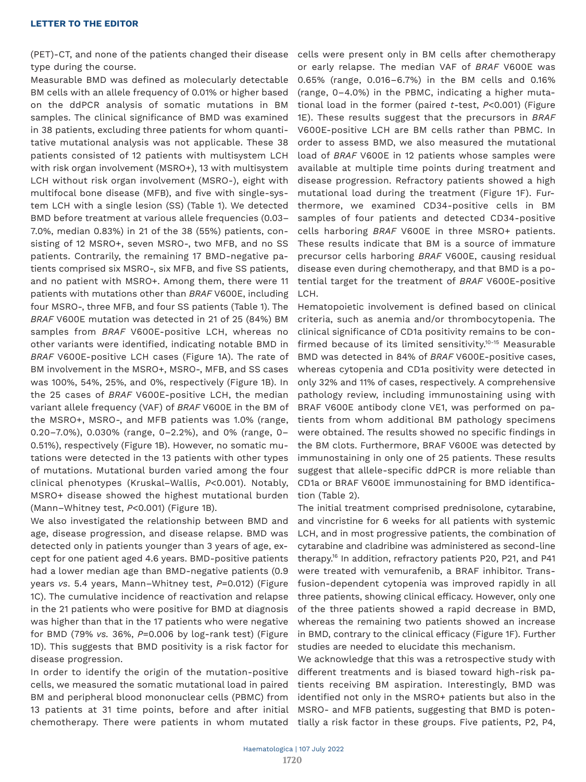(PET)-CT, and none of the patients changed their disease type during the course.

Measurable BMD was defined as molecularly detectable BM cells with an allele frequency of 0.01% or higher based on the ddPCR analysis of somatic mutations in BM samples. The clinical significance of BMD was examined in 38 patients, excluding three patients for whom quantitative mutational analysis was not applicable. These 38 patients consisted of 12 patients with multisystem LCH with risk organ involvement (MSRO+), 13 with multisystem LCH without risk organ involvement (MSRO-), eight with multifocal bone disease (MFB), and five with single-system LCH with a single lesion (SS) (Table 1). We detected BMD before treatment at various allele frequencies (0.03– 7.0%, median 0.83%) in 21 of the 38 (55%) patients, consisting of 12 MSRO+, seven MSRO-, two MFB, and no SS patients. Contrarily, the remaining 17 BMD-negative patients comprised six MSRO-, six MFB, and five SS patients, and no patient with MSRO+. Among them, there were 11 patients with mutations other than *BRAF* V600E, including four MSRO-, three MFB, and four SS patients (Table 1). The *BRAF* V600E mutation was detected in 21 of 25 (84%) BM samples from *BRAF* V600E-positive LCH, whereas no other variants were identified, indicating notable BMD in *BRAF* V600E-positive LCH cases (Figure 1A). The rate of BM involvement in the MSRO+, MSRO-, MFB, and SS cases was 100%, 54%, 25%, and 0%, respectively (Figure 1B). In the 25 cases of *BRAF* V600E-positive LCH, the median variant allele frequency (VAF) of *BRAF* V600E in the BM of the MSRO+, MSRO-, and MFB patients was 1.0% (range, 0.20–7.0%), 0.030% (range, 0–2.2%), and 0% (range, 0– 0.51%), respectively (Figure 1B). However, no somatic mutations were detected in the 13 patients with other types of mutations. Mutational burden varied among the four clinical phenotypes (Kruskal–Wallis, *P*<0.001). Notably, MSRO+ disease showed the highest mutational burden (Mann–Whitney test, *P*<0.001) (Figure 1B).

We also investigated the relationship between BMD and age, disease progression, and disease relapse. BMD was detected only in patients younger than 3 years of age, except for one patient aged 4.6 years. BMD-positive patients had a lower median age than BMD-negative patients (0.9 years *vs*. 5.4 years, Mann–Whitney test, *P*=0.012) (Figure 1C). The cumulative incidence of reactivation and relapse in the 21 patients who were positive for BMD at diagnosis was higher than that in the 17 patients who were negative for BMD (79% *vs.* 36%, *P*=0.006 by log-rank test) (Figure 1D). This suggests that BMD positivity is a risk factor for disease progression.

In order to identify the origin of the mutation-positive cells, we measured the somatic mutational load in paired BM and peripheral blood mononuclear cells (PBMC) from 13 patients at 31 time points, before and after initial chemotherapy. There were patients in whom mutated

cells were present only in BM cells after chemotherapy or early relapse. The median VAF of *BRAF* V600E was 0.65% (range, 0.016–6.7%) in the BM cells and 0.16% (range, 0–4.0%) in the PBMC, indicating a higher mutational load in the former (paired *t*-test, *P*<0.001) (Figure 1E). These results suggest that the precursors in *BRAF* V600E-positive LCH are BM cells rather than PBMC. In order to assess BMD, we also measured the mutational load of *BRAF* V600E in 12 patients whose samples were available at multiple time points during treatment and disease progression. Refractory patients showed a high mutational load during the treatment (Figure 1F). Furthermore, we examined CD34-positive cells in BM samples of four patients and detected CD34-positive cells harboring *BRAF* V600E in three MSRO+ patients. These results indicate that BM is a source of immature precursor cells harboring *BRAF* V600E, causing residual disease even during chemotherapy, and that BMD is a potential target for the treatment of *BRAF* V600E-positive LCH.

Hematopoietic involvement is defined based on clinical criteria, such as anemia and/or thrombocytopenia. The clinical significance of CD1a positivity remains to be confirmed because of its limited sensitivity.10-15 Measurable BMD was detected in 84% of *BRAF* V600E-positive cases, whereas cytopenia and CD1a positivity were detected in only 32% and 11% of cases, respectively. A comprehensive pathology review, including immunostaining using with BRAF V600E antibody clone VE1, was performed on patients from whom additional BM pathology specimens were obtained. The results showed no specific findings in the BM clots. Furthermore, BRAF V600E was detected by immunostaining in only one of 25 patients. These results suggest that allele-specific ddPCR is more reliable than CD1a or BRAF V600E immunostaining for BMD identification (Table 2).

The initial treatment comprised prednisolone, cytarabine, and vincristine for 6 weeks for all patients with systemic LCH, and in most progressive patients, the combination of cytarabine and cladribine was administered as second-line therapy.<sup>16</sup> In addition, refractory patients P20, P21, and P41 were treated with vemurafenib, a BRAF inhibitor. Transfusion-dependent cytopenia was improved rapidly in all three patients, showing clinical efficacy. However, only one of the three patients showed a rapid decrease in BMD, whereas the remaining two patients showed an increase in BMD, contrary to the clinical efficacy (Figure 1F). Further studies are needed to elucidate this mechanism.

We acknowledge that this was a retrospective study with different treatments and is biased toward high-risk patients receiving BM aspiration. Interestingly, BMD was identified not only in the MSRO+ patients but also in the MSRO- and MFB patients, suggesting that BMD is potentially a risk factor in these groups. Five patients, P2, P4,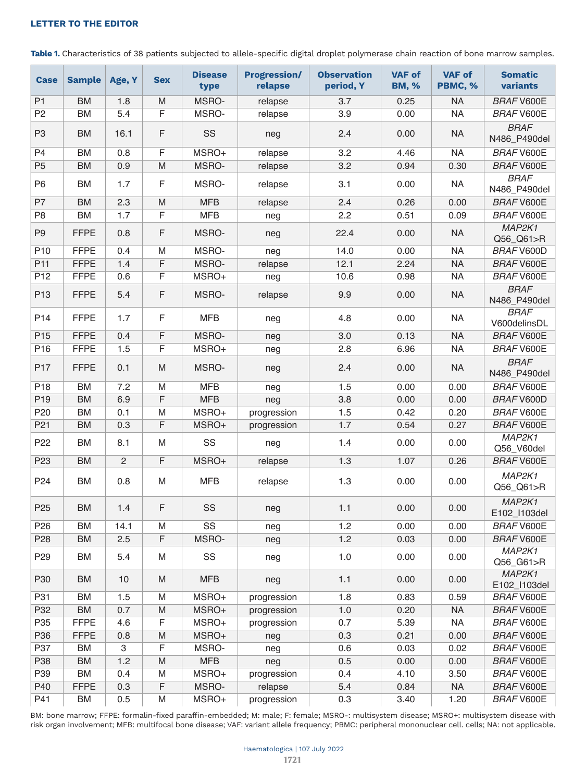Table 1. Characteristics of 38 patients subjected to allele-specific digital droplet polymerase chain reaction of bone marrow samples.

| <b>Case</b>     | <b>Sample</b> | Age, Y         | <b>Sex</b>  | <b>Disease</b><br>type | <b>Progression/</b><br>relapse | <b>Observation</b><br>period, Y | <b>VAF of</b><br><b>BM, %</b> | <b>VAF of</b><br>PBMC, % | <b>Somatic</b><br>variants  |
|-----------------|---------------|----------------|-------------|------------------------|--------------------------------|---------------------------------|-------------------------------|--------------------------|-----------------------------|
| P <sub>1</sub>  | <b>BM</b>     | 1.8            | M           | <b>MSRO-</b>           | relapse                        | 3.7                             | 0.25                          | <b>NA</b>                | <b>BRAF V600E</b>           |
| P <sub>2</sub>  | BM            | 5.4            | F           | MSRO-                  | relapse                        | 3.9                             | 0.00                          | <b>NA</b>                | <b>BRAF V600E</b>           |
| P <sub>3</sub>  | <b>BM</b>     | 16.1           | F           | SS                     | neg                            | 2.4                             | 0.00                          | <b>NA</b>                | <b>BRAF</b><br>N486_P490del |
| P <sub>4</sub>  | <b>BM</b>     | 0.8            | F           | MSRO+                  | relapse                        | 3.2                             | 4.46                          | <b>NA</b>                | <b>BRAF V600E</b>           |
| P <sub>5</sub>  | <b>BM</b>     | 0.9            | M           | <b>MSRO-</b>           | relapse                        | 3.2                             | 0.94                          | 0.30                     | <b>BRAF V600E</b>           |
| P <sub>6</sub>  | <b>BM</b>     | 1.7            | F           | <b>MSRO-</b>           | relapse                        | 3.1                             | 0.00                          | <b>NA</b>                | <b>BRAF</b><br>N486_P490del |
| P7              | <b>BM</b>     | 2.3            | M           | <b>MFB</b>             | relapse                        | 2.4                             | 0.26                          | 0.00                     | <b>BRAF V600E</b>           |
| P <sub>8</sub>  | <b>BM</b>     | 1.7            | F           | <b>MFB</b>             | neg                            | 2.2                             | 0.51                          | 0.09                     | <b>BRAF V600E</b>           |
| P <sub>9</sub>  | <b>FFPE</b>   | 0.8            | F           | MSRO-                  | neg                            | 22.4                            | 0.00                          | <b>NA</b>                | MAP2K1<br>Q56_Q61>R         |
| P <sub>10</sub> | <b>FFPE</b>   | 0.4            | M           | MSRO-                  | neg                            | 14.0                            | 0.00                          | <b>NA</b>                | <b>BRAF V600D</b>           |
| P <sub>11</sub> | <b>FFPE</b>   | 1.4            | $\mathsf F$ | MSRO-                  | relapse                        | 12.1                            | 2.24                          | <b>NA</b>                | <b>BRAF V600E</b>           |
| P <sub>12</sub> | <b>FFPE</b>   | 0.6            | F           | MSRO+                  | neg                            | 10.6                            | 0.98                          | <b>NA</b>                | <b>BRAF V600E</b>           |
| P <sub>13</sub> | <b>FFPE</b>   | 5.4            | F           | MSRO-                  | relapse                        | 9.9                             | 0.00                          | <b>NA</b>                | <b>BRAF</b><br>N486_P490del |
| P <sub>14</sub> | <b>FFPE</b>   | 1.7            | $\mathsf F$ | <b>MFB</b>             | neg                            | 4.8                             | 0.00                          | <b>NA</b>                | <b>BRAF</b><br>V600delinsDL |
| P <sub>15</sub> | <b>FFPE</b>   | 0.4            | F           | MSRO-                  | neg                            | 3.0                             | 0.13                          | <b>NA</b>                | <b>BRAF V600E</b>           |
| P <sub>16</sub> | <b>FFPE</b>   | 1.5            | F           | MSRO+                  | neg                            | 2.8                             | 6.96                          | <b>NA</b>                | <b>BRAF V600E</b>           |
| P <sub>17</sub> | <b>FFPE</b>   | 0.1            | M           | MSRO-                  | neg                            | 2.4                             | 0.00                          | <b>NA</b>                | <b>BRAF</b><br>N486_P490del |
| P <sub>18</sub> | <b>BM</b>     | 7.2            | M           | <b>MFB</b>             | neg                            | 1.5                             | 0.00                          | 0.00                     | <b>BRAF V600E</b>           |
| P <sub>19</sub> | <b>BM</b>     | 6.9            | F           | <b>MFB</b>             | neg                            | 3.8                             | 0.00                          | 0.00                     | <b>BRAF V600D</b>           |
| P <sub>20</sub> | BM            | 0.1            | M           | MSRO+                  | progression                    | 1.5                             | 0.42                          | 0.20                     | <b>BRAF V600E</b>           |
| P <sub>21</sub> | <b>BM</b>     | 0.3            | F           | MSRO+                  | progression                    | 1.7                             | 0.54                          | 0.27                     | <b>BRAF V600E</b>           |
| P <sub>22</sub> | <b>BM</b>     | 8.1            | M           | <b>SS</b>              | neg                            | 1.4                             | 0.00                          | 0.00                     | MAP2K1<br>Q56_V60del        |
| P <sub>23</sub> | <b>BM</b>     | $\overline{2}$ | F           | MSRO+                  | relapse                        | 1.3                             | 1.07                          | 0.26                     | <b>BRAF V600E</b>           |
| P <sub>24</sub> | <b>BM</b>     | 0.8            | M           | <b>MFB</b>             | relapse                        | 1.3                             | 0.00                          | 0.00                     | MAP2K1<br>Q56_Q61>R         |
| P <sub>25</sub> | <b>BM</b>     | 1.4            | F           | <b>SS</b>              | neg                            | 1.1                             | 0.00                          | 0.00                     | MAP2K1<br>E102_I103del      |
| P <sub>26</sub> | <b>BM</b>     | 14.1           | M           | SS                     | neg                            | 1.2                             | 0.00                          | 0.00                     | <b>BRAF V600E</b>           |
| P <sub>28</sub> | <b>BM</b>     | 2.5            | F           | MSRO-                  | neg                            | 1.2                             | 0.03                          | 0.00                     | <b>BRAF V600E</b>           |
| P <sub>29</sub> | <b>BM</b>     | 5.4            | M           | SS                     | neg                            | $1.0$                           | 0.00                          | 0.00                     | MAP2K1<br>Q56_G61>R         |
| P30             | <b>BM</b>     | 10             | M           | <b>MFB</b>             | neg                            | 1.1                             | 0.00                          | 0.00                     | MAP2K1<br>E102_I103del      |
| P31             | ВM            | 1.5            | M           | MSRO+                  | progression                    | 1.8                             | 0.83                          | 0.59                     | <b>BRAF V600E</b>           |
| P32             | <b>BM</b>     | 0.7            | M           | MSRO+                  | progression                    | 1.0                             | 0.20                          | <b>NA</b>                | <b>BRAF V600E</b>           |
| P <sub>35</sub> | <b>FFPE</b>   | 4.6            | F           | MSRO+                  | progression                    | 0.7                             | 5.39                          | <b>NA</b>                | <b>BRAF V600E</b>           |
| P36             | <b>FFPE</b>   | 0.8            | M           | MSRO+                  | neg                            | 0.3                             | 0.21                          | 0.00                     | <b>BRAF V600E</b>           |
| P37             | BM            | $\mathbf{3}$   | F           | MSRO-                  | neg                            | 0.6                             | 0.03                          | 0.02                     | <b>BRAF V600E</b>           |
| P38             | BM            | 1.2            | M           | <b>MFB</b>             | neg                            | 0.5                             | 0.00                          | 0.00                     | <b>BRAF V600E</b>           |
| P39             | BM            | 0.4            | M           | MSRO+                  | progression                    | 0.4                             | 4.10                          | 3.50                     | <b>BRAF V600E</b>           |
| P40             | <b>FFPE</b>   | 0.3            | F           | MSRO-                  | relapse                        | 5.4                             | 0.84                          | <b>NA</b>                | <b>BRAF V600E</b>           |
| P41             | <b>BM</b>     | 0.5            | M           | MSRO+                  | progression                    | 0.3                             | 3.40                          | 1.20                     | <b>BRAF V600E</b>           |

BM: bone marrow; FFPE: formalin-fixed paraffin-embedded; M: male; F: female; MSRO-: multisystem disease; MSRO+: multisystem disease with risk organ involvement; MFB: multifocal bone disease; VAF: variant allele frequency; PBMC: peripheral mononuclear cell. cells; NA: not applicable.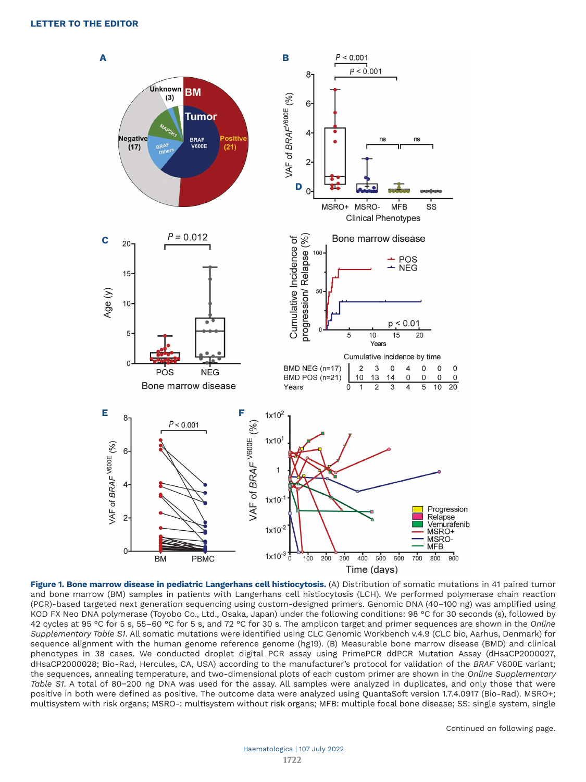

**Figure 1. Bone marrow disease in pediatric Langerhans cell histiocytosis.** (A) Distribution of somatic mutations in 41 paired tumor and bone marrow (BM) samples in patients with Langerhans cell histiocytosis (LCH). We performed polymerase chain reaction (PCR)-based targeted next generation sequencing using custom-designed primers. Genomic DNA (40–100 ng) was amplified using KOD FX Neo DNA polymerase (Toyobo Co., Ltd., Osaka, Japan) under the following conditions: 98 °C for 30 seconds (s), followed by 42 cycles at 95 °C for 5 s, 55–60 °C for 5 s, and 72 °C for 30 s. The amplicon target and primer sequences are shown in the *Online Supplementary Table S1*. All somatic mutations were identified using CLC Genomic Workbench v.4.9 (CLC bio, Aarhus, Denmark) for sequence alignment with the human genome reference genome (hg19). (B) Measurable bone marrow disease (BMD) and clinical phenotypes in 38 cases. We conducted droplet digital PCR assay using PrimePCR ddPCR Mutation Assay (dHsaCP2000027, dHsaCP2000028; Bio-Rad, Hercules, CA, USA) according to the manufacturer's protocol for validation of the *BRAF* V600E variant; the sequences, annealing temperature, and two-dimensional plots of each custom primer are shown in the *Online Supplementary Table S1*. A total of 80−200 ng DNA was used for the assay. All samples were analyzed in duplicates, and only those that were positive in both were defined as positive. The outcome data were analyzed using QuantaSoft version 1.7.4.0917 (Bio-Rad). MSRO+; multisystem with risk organs; MSRO-: multisystem without risk organs; MFB: multiple focal bone disease; SS: single system, single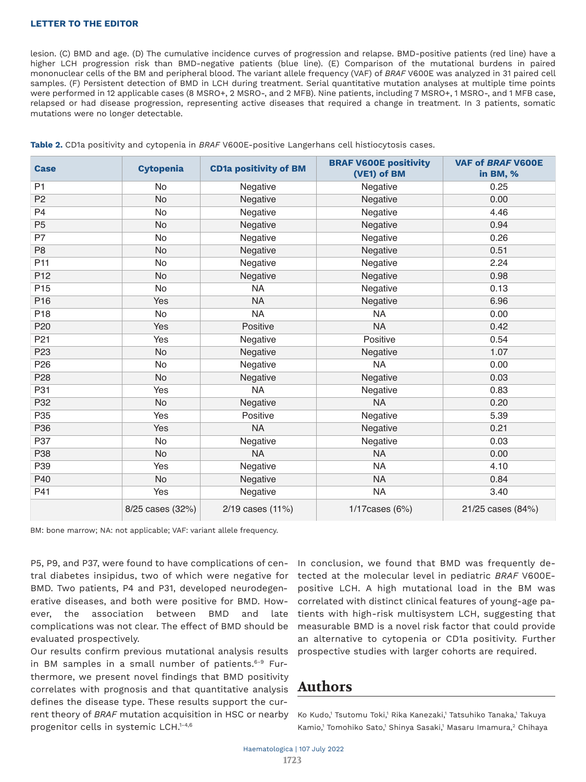lesion. (C) BMD and age. (D) The cumulative incidence curves of progression and relapse. BMD-positive patients (red line) have a higher LCH progression risk than BMD-negative patients (blue line). (E) Comparison of the mutational burdens in paired mononuclear cells of the BM and peripheral blood. The variant allele frequency (VAF) of *BRAF* V600E was analyzed in 31 paired cell samples. (F) Persistent detection of BMD in LCH during treatment. Serial quantitative mutation analyses at multiple time points were performed in 12 applicable cases (8 MSRO+, 2 MSRO-, and 2 MFB). Nine patients, including 7 MSRO+, 1 MSRO-, and 1 MFB case, relapsed or had disease progression, representing active diseases that required a change in treatment. In 3 patients, somatic mutations were no longer detectable.

| <b>Case</b>     | <b>Cytopenia</b> | <b>CD1a positivity of BM</b> | <b>BRAF V600E positivity</b><br>(VE1) of BM | <b>VAF of BRAF V600E</b><br>in BM, % |
|-----------------|------------------|------------------------------|---------------------------------------------|--------------------------------------|
| P <sub>1</sub>  | <b>No</b>        | Negative                     | Negative                                    | 0.25                                 |
| P <sub>2</sub>  | <b>No</b>        | Negative                     | Negative                                    | 0.00                                 |
| P <sub>4</sub>  | <b>No</b>        | Negative                     | Negative                                    | 4.46                                 |
| P <sub>5</sub>  | <b>No</b>        | Negative                     | Negative                                    | 0.94                                 |
| P7              | <b>No</b>        | Negative                     | Negative                                    | 0.26                                 |
| P <sub>8</sub>  | <b>No</b>        | Negative                     | Negative                                    | 0.51                                 |
| P <sub>11</sub> | <b>No</b>        | Negative                     | Negative                                    | 2.24                                 |
| P <sub>12</sub> | <b>No</b>        | Negative                     | Negative                                    | 0.98                                 |
| P <sub>15</sub> | <b>No</b>        | <b>NA</b>                    | Negative                                    | 0.13                                 |
| P <sub>16</sub> | Yes              | <b>NA</b>                    | Negative                                    | 6.96                                 |
| P <sub>18</sub> | <b>No</b>        | <b>NA</b>                    | <b>NA</b>                                   | 0.00                                 |
| P20             | Yes              | Positive                     | <b>NA</b>                                   | 0.42                                 |
| P21             | Yes              | Negative                     | Positive                                    | 0.54                                 |
| P <sub>23</sub> | <b>No</b>        | Negative                     | Negative                                    | 1.07                                 |
| P <sub>26</sub> | <b>No</b>        | Negative                     | <b>NA</b>                                   | 0.00                                 |
| P <sub>28</sub> | <b>No</b>        | Negative                     | Negative                                    | 0.03                                 |
| P31             | Yes              | <b>NA</b>                    | Negative                                    | 0.83                                 |
| P32             | <b>No</b>        | Negative                     | <b>NA</b>                                   | 0.20                                 |
| P <sub>35</sub> | Yes              | Positive                     | Negative                                    | 5.39                                 |
| P36             | Yes              | <b>NA</b>                    | Negative                                    | 0.21                                 |
| P37             | <b>No</b>        | Negative                     | Negative                                    | 0.03                                 |
| P38             | <b>No</b>        | <b>NA</b>                    | <b>NA</b>                                   | 0.00                                 |
| P39             | Yes              | Negative                     | <b>NA</b>                                   | 4.10                                 |
| P40             | <b>No</b>        | Negative                     | <b>NA</b>                                   | 0.84                                 |
| P41             | Yes              | Negative                     | <b>NA</b>                                   | 3.40                                 |
|                 | 8/25 cases (32%) | 2/19 cases (11%)             | $1/17$ cases (6%)                           | 21/25 cases (84%)                    |

**Table 2.** CD1a positivity and cytopenia in *BRAF* V600E-positive Langerhans cell histiocytosis cases.

BM: bone marrow; NA: not applicable; VAF: variant allele frequency.

P5, P9, and P37, were found to have complications of central diabetes insipidus, two of which were negative for BMD. Two patients, P4 and P31, developed neurodegenerative diseases, and both were positive for BMD. However, the association between BMD and late complications was not clear. The effect of BMD should be evaluated prospectively.

Our results confirm previous mutational analysis results in BM samples in a small number of patients.<sup>6-9</sup> Furthermore, we present novel findings that BMD positivity correlates with prognosis and that quantitative analysis defines the disease type. These results support the current theory of *BRAF* mutation acquisition in HSC or nearby progenitor cells in systemic LCH.1-4,6

In conclusion, we found that BMD was frequently detected at the molecular level in pediatric *BRAF* V600Epositive LCH. A high mutational load in the BM was correlated with distinct clinical features of young-age patients with high-risk multisystem LCH, suggesting that measurable BMD is a novel risk factor that could provide an alternative to cytopenia or CD1a positivity. Further prospective studies with larger cohorts are required.

# **Authors**

Ko Kudo,' Tsutomu Toki,' Rika Kanezaki,' Tatsuhiko Tanaka,' Takuya Kamio,' Tomohiko Sato,' Shinya Sasaki,' Masaru Imamura, $^2$  Chihaya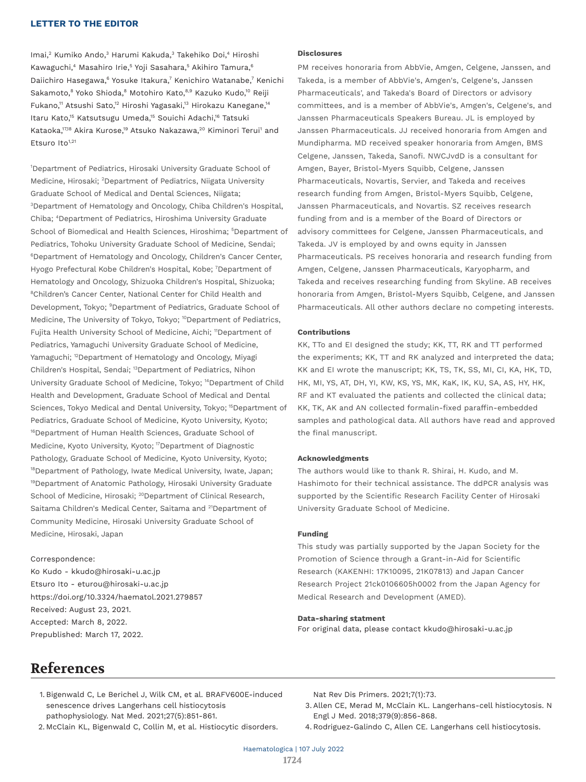Imai,<sup>2</sup> Kumiko Ando,<sup>3</sup> Harumi Kakuda,<sup>3</sup> Takehiko Doi,<sup>4</sup> Hiroshi Kawaguchi, $4$  Masahiro Irie, $^5$  Yoji Sasahara, $^5$  Akihiro Tamura, $^6$ Daiichiro Hasegawa,<sup>6</sup> Yosuke Itakura,<sup>7</sup> Kenichiro Watanabe,<sup>7</sup> Kenichi Sakamoto,<sup>8</sup> Yoko Shioda,<sup>8</sup> Motohiro Kato,<sup>8,9</sup> Kazuko Kudo,<sup>10</sup> Reiji Fukano,<sup>11</sup> Atsushi Sato,<sup>12</sup> Hiroshi Yagasaki,<sup>13</sup> Hirokazu Kanegane,<sup>14</sup> Itaru Kato,<sup>15</sup> Katsutsugu Umeda,<sup>15</sup> Souichi Adachi,<sup>16</sup> Tatsuki Kataoka, $^{17,18}$  Akira Kurose, $^{19}$  Atsuko Nakazawa, $^{20}$  Kiminori Terui $^{1}$  and Etsuro Ito<sup>1,21</sup>

1 Department of Pediatrics, Hirosaki University Graduate School of Medicine, Hirosaki; <sup>2</sup>Department of Pediatrics, Niigata University Graduate School of Medical and Dental Sciences, Niigata; 3 Department of Hematology and Oncology, Chiba Children's Hospital, Chiba; 4 Department of Pediatrics, Hiroshima University Graduate School of Biomedical and Health Sciences, Hiroshima; <sup>5</sup>Department of Pediatrics, Tohoku University Graduate School of Medicine, Sendai; 6 Department of Hematology and Oncology, Children's Cancer Center, Hyogo Prefectural Kobe Children's Hospital, Kobe; <sup>7</sup>Department of Hematology and Oncology, Shizuoka Children's Hospital, Shizuoka; 8 Children's Cancer Center, National Center for Child Health and Development, Tokyo; <sup>9</sup>Department of Pediatrics, Graduate School of Medicine, The University of Tokyo, Tokyo; <sup>10</sup>Department of Pediatrics, Fujita Health University School of Medicine, Aichi; <sup>11</sup>Department of Pediatrics, Yamaguchi University Graduate School of Medicine, Yamaguchi; <sup>12</sup>Department of Hematology and Oncology, Miyagi Children's Hospital, Sendai; 13Department of Pediatrics, Nihon University Graduate School of Medicine, Tokyo; 14Department of Child Health and Development, Graduate School of Medical and Dental Sciences, Tokyo Medical and Dental University, Tokyo; <sup>15</sup>Department of Pediatrics, Graduate School of Medicine, Kyoto University, Kyoto; <sup>16</sup>Department of Human Health Sciences, Graduate School of Medicine, Kyoto University, Kyoto; <sup>17</sup>Department of Diagnostic Pathology, Graduate School of Medicine, Kyoto University, Kyoto; <sup>18</sup>Department of Pathology, Iwate Medical University, Iwate, Japan; <sup>19</sup>Department of Anatomic Pathology, Hirosaki University Graduate School of Medicine, Hirosaki; <sup>20</sup>Department of Clinical Research, Saitama Children's Medical Center, Saitama and <sup>21</sup>Department of Community Medicine, Hirosaki University Graduate School of Medicine, Hirosaki, Japan

#### Correspondence:

Ko Kudo - kkudo@hirosaki-u.ac.jp Etsuro Ito - eturou@hirosaki-u.ac.jp https://doi.org/10.3324/haematol.2021.279857 Received: August 23, 2021. Accepted: March 8, 2022. Prepublished: March 17, 2022.

#### **Disclosures**

PM receives honoraria from AbbVie, Amgen, Celgene, Janssen, and Takeda, is a member of AbbVie's, Amgen's, Celgene's, Janssen Pharmaceuticals', and Takeda's Board of Directors or advisory committees, and is a member of AbbVie's, Amgen's, Celgene's, and Janssen Pharmaceuticals Speakers Bureau. JL is employed by Janssen Pharmaceuticals. JJ received honoraria from Amgen and Mundipharma. MD received speaker honoraria from Amgen, BMS Celgene, Janssen, Takeda, Sanofi. NWCJvdD is a consultant for Amgen, Bayer, Bristol-Myers Squibb, Celgene, Janssen Pharmaceuticals, Novartis, Servier, and Takeda and receives research funding from Amgen, Bristol-Myers Squibb, Celgene, Janssen Pharmaceuticals, and Novartis. SZ receives research funding from and is a member of the Board of Directors or advisory committees for Celgene, Janssen Pharmaceuticals, and Takeda. JV is employed by and owns equity in Janssen Pharmaceuticals. PS receives honoraria and research funding from Amgen, Celgene, Janssen Pharmaceuticals, Karyopharm, and Takeda and receives researching funding from Skyline. AB receives honoraria from Amgen, Bristol-Myers Squibb, Celgene, and Janssen Pharmaceuticals. All other authors declare no competing interests.

#### **Contributions**

KK, TTo and EI designed the study; KK, TT, RK and TT performed the experiments; KK, TT and RK analyzed and interpreted the data; KK and EI wrote the manuscript; KK, TS, TK, SS, MI, CI, KA, HK, TD, HK, MI, YS, AT, DH, YI, KW, KS, YS, MK, KaK, IK, KU, SA, AS, HY, HK, RF and KT evaluated the patients and collected the clinical data; KK, TK, AK and AN collected formalin-fixed paraffin-embedded samples and pathological data. All authors have read and approved the final manuscript.

#### **Acknowledgments**

The authors would like to thank R. Shirai, H. Kudo, and M. Hashimoto for their technical assistance. The ddPCR analysis was supported by the Scientific Research Facility Center of Hirosaki University Graduate School of Medicine.

#### **Funding**

This study was partially supported by the Japan Society for the Promotion of Science through a Grant-in-Aid for Scientific Research (KAKENHI: 17K10095, 21K07813) and Japan Cancer Research Project 21ck0106605h0002 from the Japan Agency for Medical Research and Development (AMED).

#### **Data-sharing statment**

For original data, please contact kkudo@hirosaki-u.ac.jp

# **References**

 1. Bigenwald C, Le Berichel J, Wilk CM, et al. BRAFV600E-induced senescence drives Langerhans cell histiocytosis pathophysiology. Nat Med. 2021;27(5):851-861.

Nat Rev Dis Primers. 2021;7(1):73.

- 3. Allen CE, Merad M, McClain KL. Langerhans-cell histiocytosis. N Engl J Med. 2018;379(9):856-868.
- 2. McClain KL, Bigenwald C, Collin M, et al. Histiocytic disorders.
- 4. Rodriguez-Galindo C, Allen CE. Langerhans cell histiocytosis.